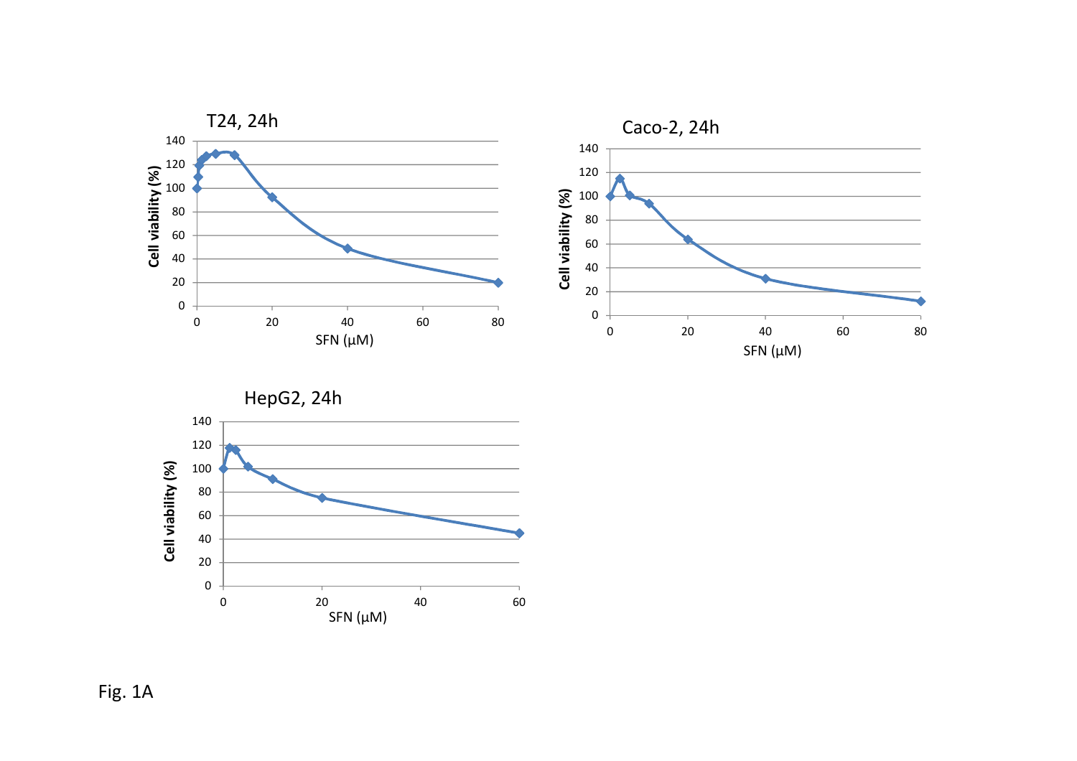



Fig. 1A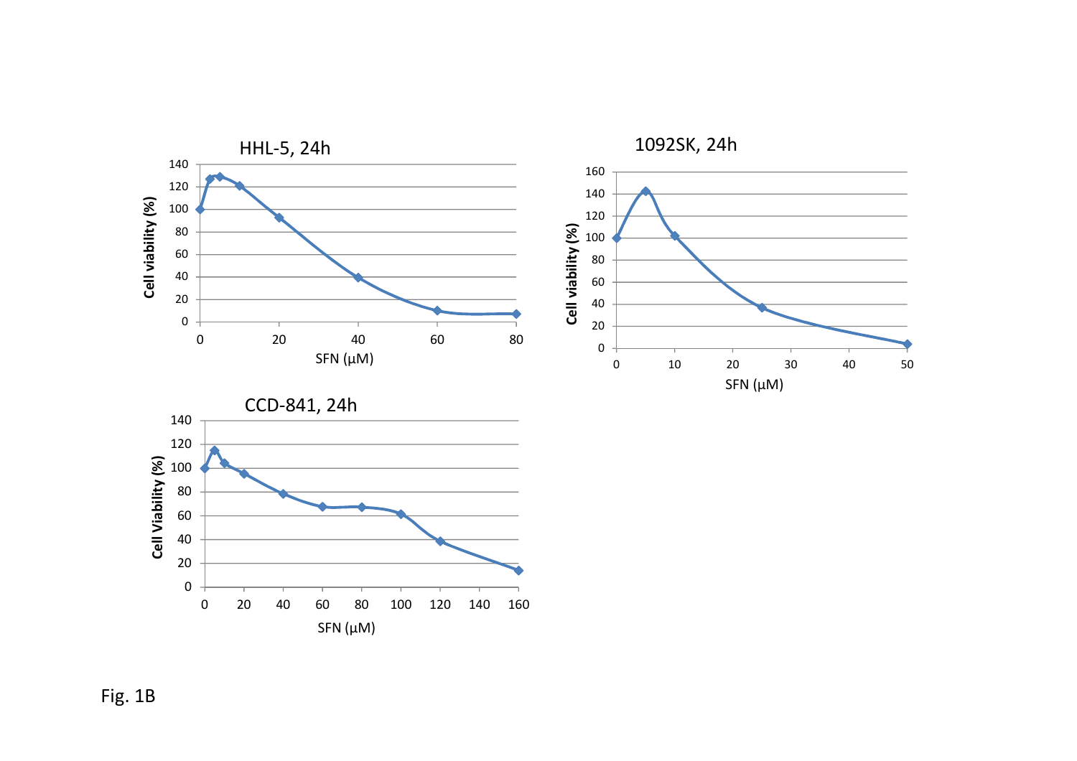



Fig. 1B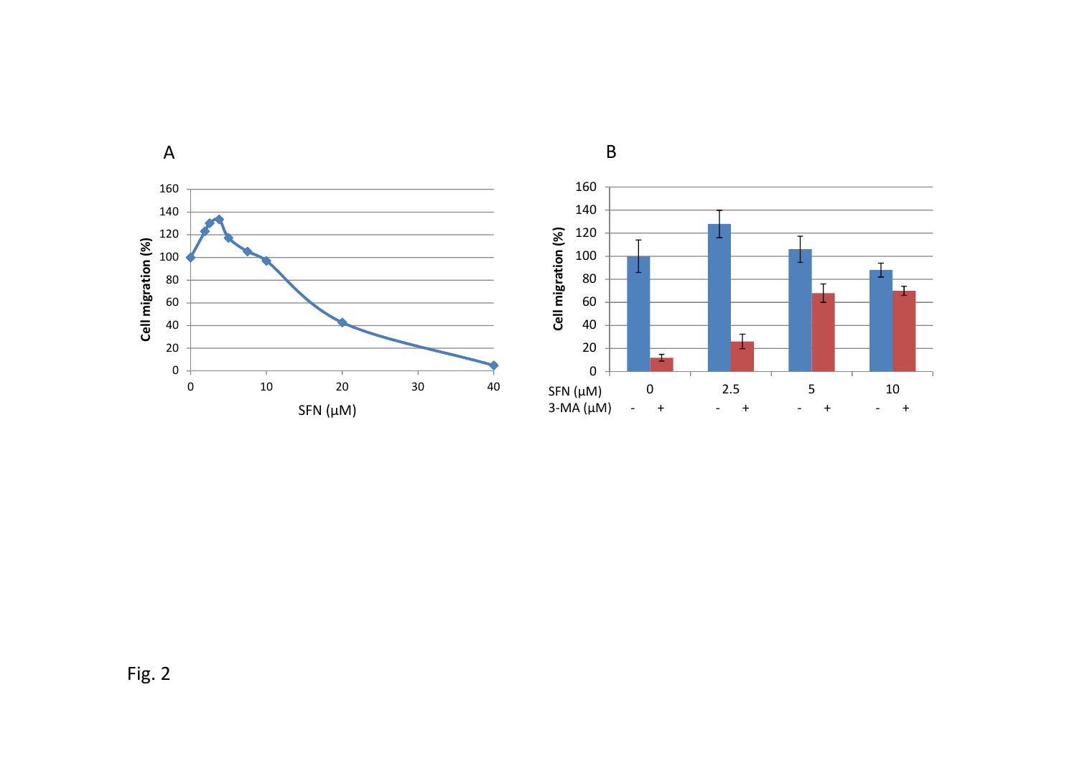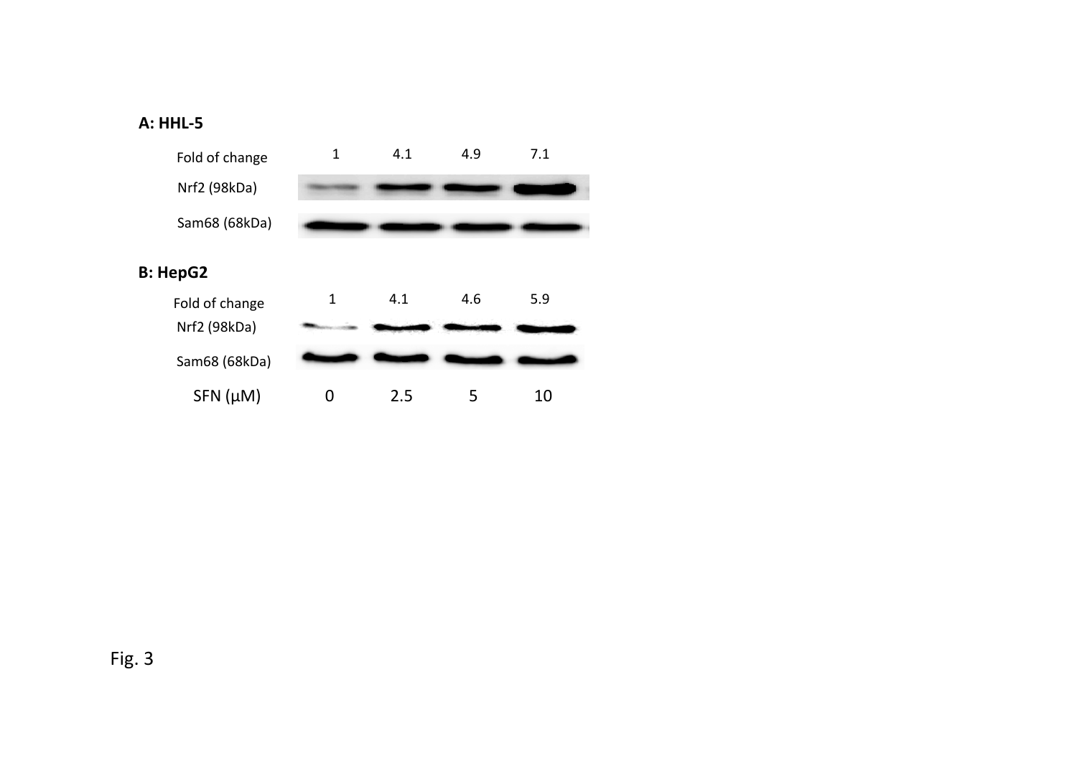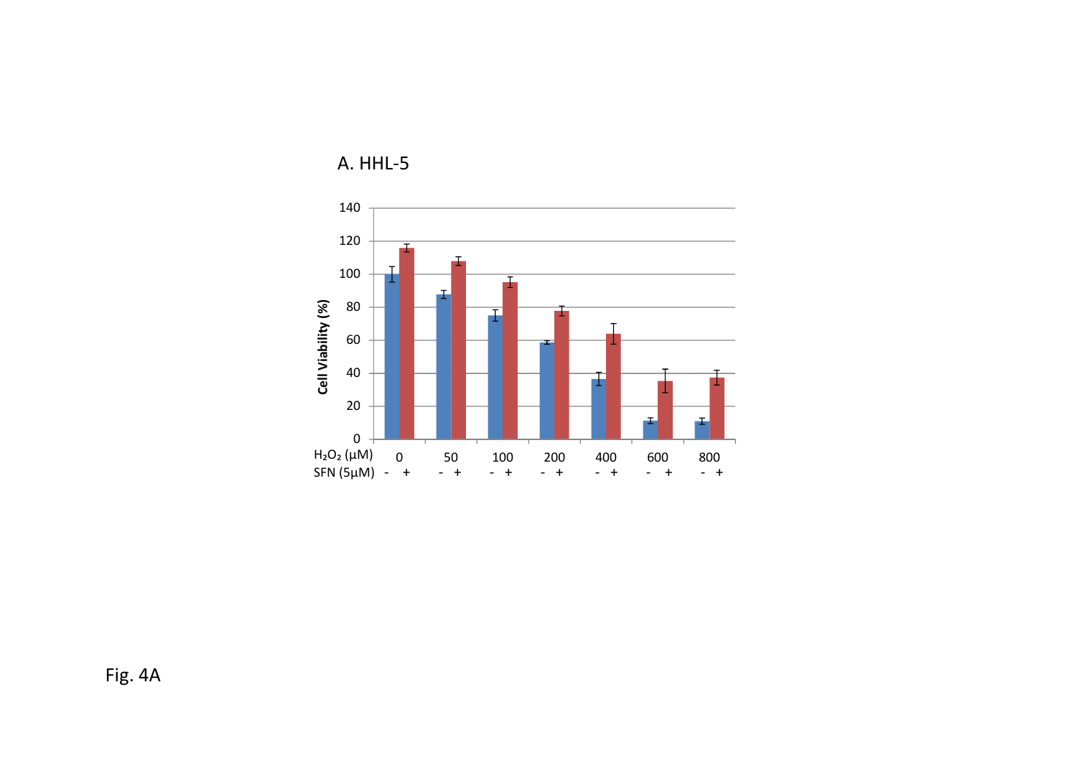

A. HHL-5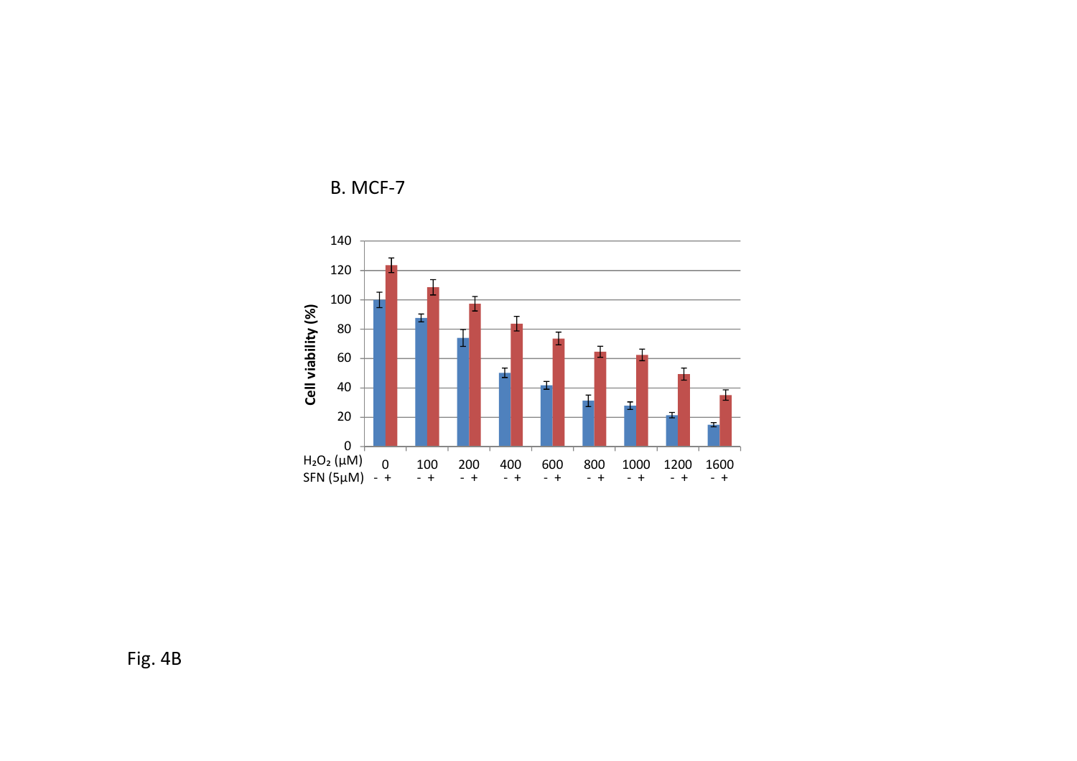



Fig. 4B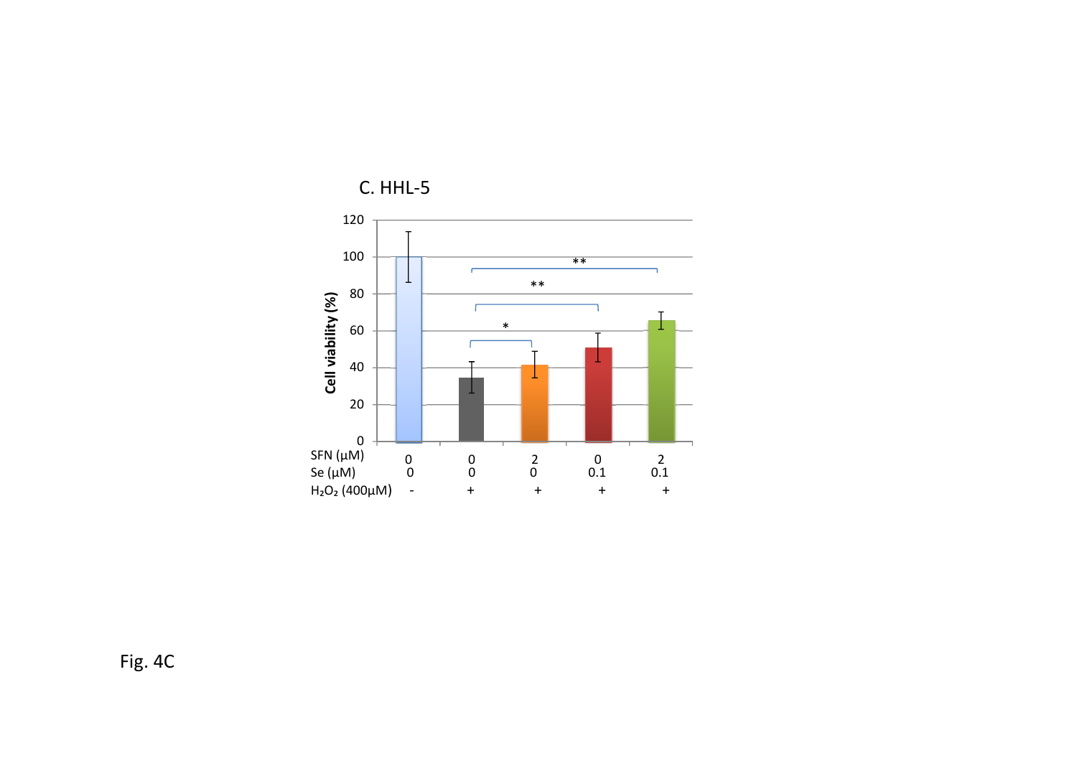

C. HHL-5

Fig. 4C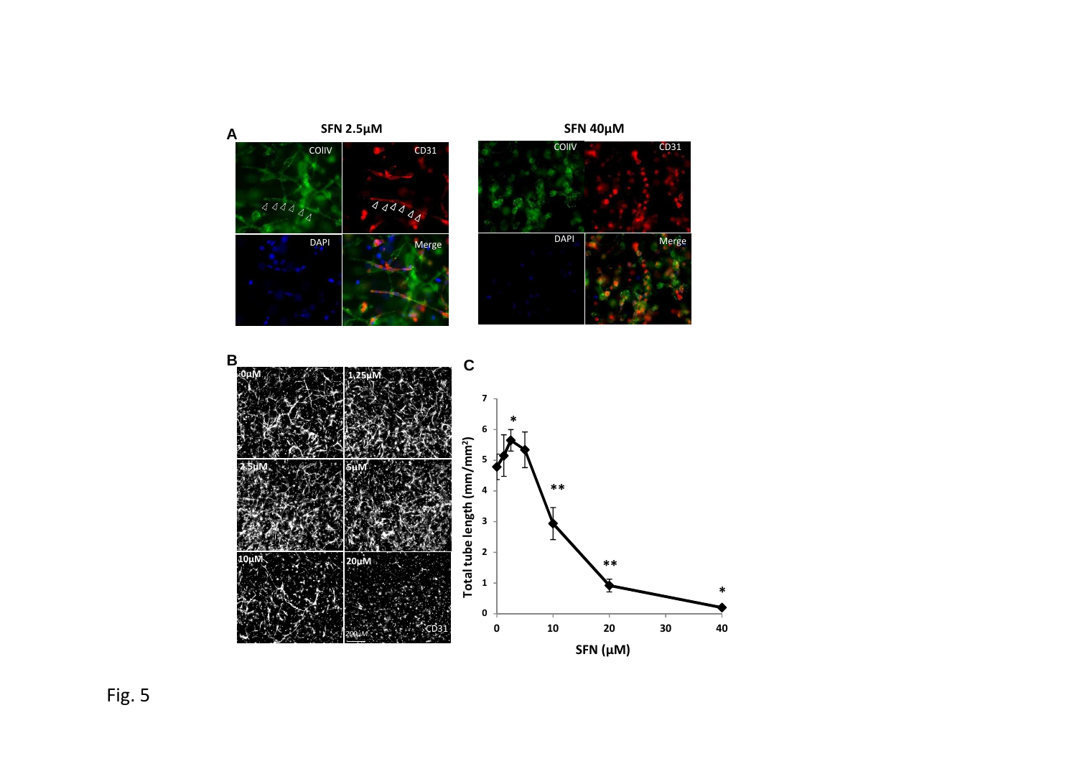

Fig. 5